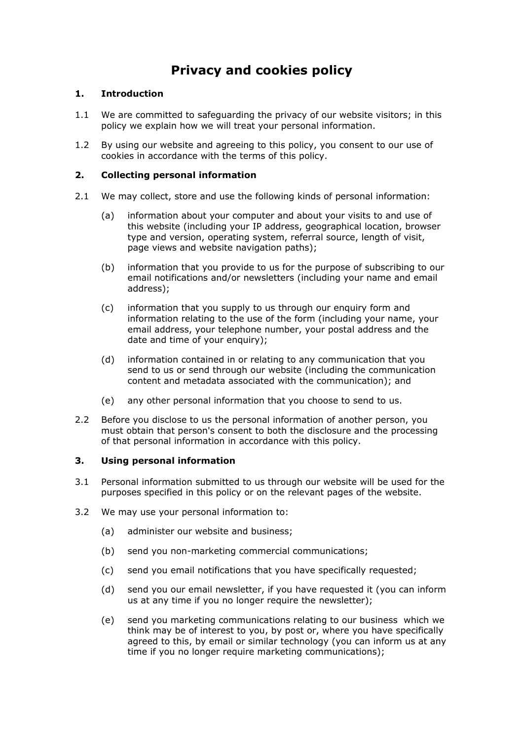# **Privacy and cookies policy**

# **1. Introduction**

- 1.1 We are committed to safeguarding the privacy of our website visitors; in this policy we explain how we will treat your personal information.
- 1.2 By using our website and agreeing to this policy, you consent to our use of cookies in accordance with the terms of this policy.

# **2. Collecting personal information**

- 2.1 We may collect, store and use the following kinds of personal information:
	- (a) information about your computer and about your visits to and use of this website (including your IP address, geographical location, browser type and version, operating system, referral source, length of visit, page views and website navigation paths);
	- (b) information that you provide to us for the purpose of subscribing to our email notifications and/or newsletters (including your name and email address);
	- (c) information that you supply to us through our enquiry form and information relating to the use of the form (including your name, your email address, your telephone number, your postal address and the date and time of your enquiry);
	- (d) information contained in or relating to any communication that you send to us or send through our website (including the communication content and metadata associated with the communication); and
	- (e) any other personal information that you choose to send to us.
- 2.2 Before you disclose to us the personal information of another person, you must obtain that person's consent to both the disclosure and the processing of that personal information in accordance with this policy.

## **3. Using personal information**

- 3.1 Personal information submitted to us through our website will be used for the purposes specified in this policy or on the relevant pages of the website.
- 3.2 We may use your personal information to:
	- (a) administer our website and business;
	- (b) send you non-marketing commercial communications;
	- (c) send you email notifications that you have specifically requested;
	- (d) send you our email newsletter, if you have requested it (you can inform us at any time if you no longer require the newsletter);
	- (e) send you marketing communications relating to our business which we think may be of interest to you, by post or, where you have specifically agreed to this, by email or similar technology (you can inform us at any time if you no longer require marketing communications);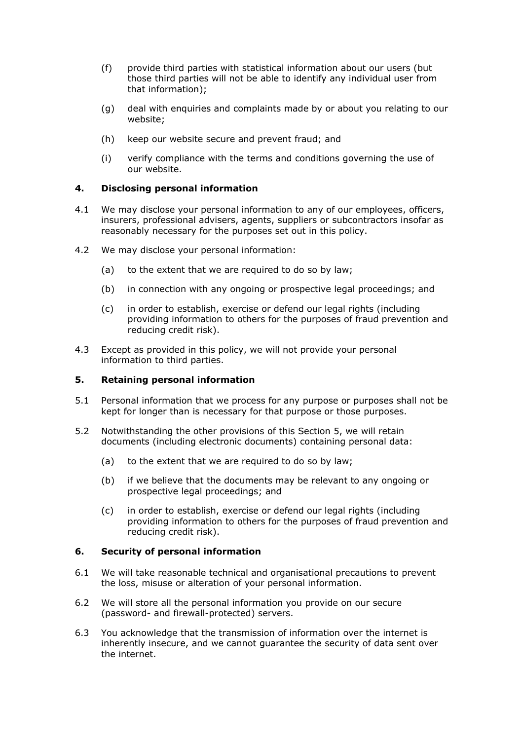- (f) provide third parties with statistical information about our users (but those third parties will not be able to identify any individual user from that information);
- (g) deal with enquiries and complaints made by or about you relating to our website;
- (h) keep our website secure and prevent fraud; and
- (i) verify compliance with the terms and conditions governing the use of our website.

#### **4. Disclosing personal information**

- 4.1 We may disclose your personal information to any of our employees, officers, insurers, professional advisers, agents, suppliers or subcontractors insofar as reasonably necessary for the purposes set out in this policy.
- 4.2 We may disclose your personal information:
	- (a) to the extent that we are required to do so by law;
	- (b) in connection with any ongoing or prospective legal proceedings; and
	- (c) in order to establish, exercise or defend our legal rights (including providing information to others for the purposes of fraud prevention and reducing credit risk).
- 4.3 Except as provided in this policy, we will not provide your personal information to third parties.

#### **5. Retaining personal information**

- 5.1 Personal information that we process for any purpose or purposes shall not be kept for longer than is necessary for that purpose or those purposes.
- 5.2 Notwithstanding the other provisions of this Section 5, we will retain documents (including electronic documents) containing personal data:
	- (a) to the extent that we are required to do so by law;
	- (b) if we believe that the documents may be relevant to any ongoing or prospective legal proceedings; and
	- (c) in order to establish, exercise or defend our legal rights (including providing information to others for the purposes of fraud prevention and reducing credit risk).

#### **6. Security of personal information**

- 6.1 We will take reasonable technical and organisational precautions to prevent the loss, misuse or alteration of your personal information.
- 6.2 We will store all the personal information you provide on our secure (password- and firewall-protected) servers.
- 6.3 You acknowledge that the transmission of information over the internet is inherently insecure, and we cannot guarantee the security of data sent over the internet.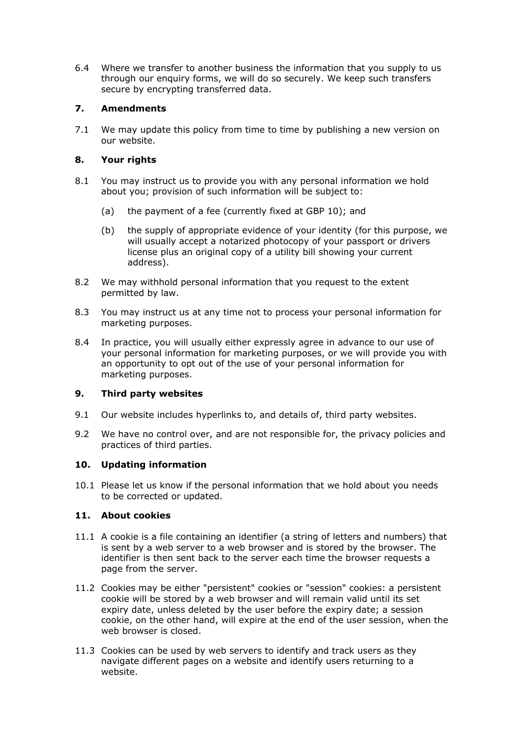6.4 Where we transfer to another business the information that you supply to us through our enquiry forms, we will do so securely. We keep such transfers secure by encrypting transferred data.

## **7. Amendments**

7.1 We may update this policy from time to time by publishing a new version on our website.

# **8. Your rights**

- 8.1 You may instruct us to provide you with any personal information we hold about you; provision of such information will be subject to:
	- (a) the payment of a fee (currently fixed at GBP 10); and
	- (b) the supply of appropriate evidence of your identity (for this purpose, we will usually accept a notarized photocopy of your passport or drivers license plus an original copy of a utility bill showing your current address).
- 8.2 We may withhold personal information that you request to the extent permitted by law.
- 8.3 You may instruct us at any time not to process your personal information for marketing purposes.
- 8.4 In practice, you will usually either expressly agree in advance to our use of your personal information for marketing purposes, or we will provide you with an opportunity to opt out of the use of your personal information for marketing purposes.

## **9. Third party websites**

- 9.1 Our website includes hyperlinks to, and details of, third party websites.
- 9.2 We have no control over, and are not responsible for, the privacy policies and practices of third parties.

## **10. Updating information**

10.1 Please let us know if the personal information that we hold about you needs to be corrected or updated.

## **11. About cookies**

- 11.1 A cookie is a file containing an identifier (a string of letters and numbers) that is sent by a web server to a web browser and is stored by the browser. The identifier is then sent back to the server each time the browser requests a page from the server.
- 11.2 Cookies may be either "persistent" cookies or "session" cookies: a persistent cookie will be stored by a web browser and will remain valid until its set expiry date, unless deleted by the user before the expiry date; a session cookie, on the other hand, will expire at the end of the user session, when the web browser is closed.
- 11.3 Cookies can be used by web servers to identify and track users as they navigate different pages on a website and identify users returning to a website.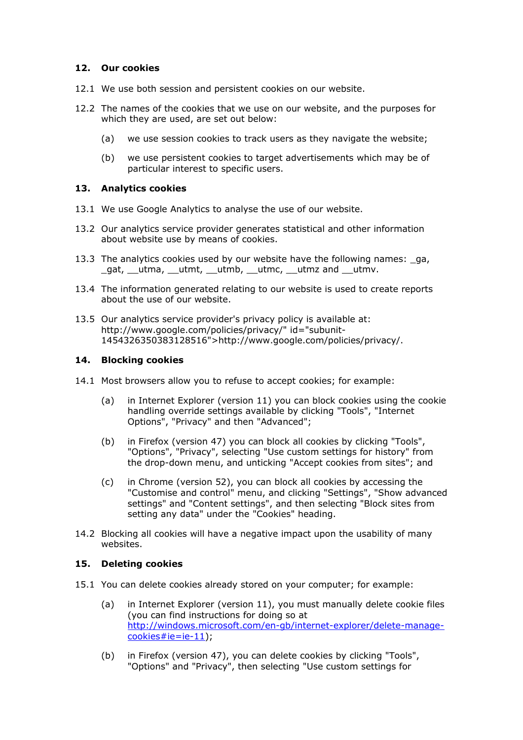#### **12. Our cookies**

- 12.1 We use both session and persistent cookies on our website.
- 12.2 The names of the cookies that we use on our website, and the purposes for which they are used, are set out below:
	- (a) we use session cookies to track users as they navigate the website;
	- (b) we use persistent cookies to target advertisements which may be of particular interest to specific users.

#### **13. Analytics cookies**

- 13.1 We use Google Analytics to analyse the use of our website.
- 13.2 Our analytics service provider generates statistical and other information about website use by means of cookies.
- 13.3 The analytics cookies used by our website have the following names: ga, \_gat, \_\_utma, \_\_utmt, \_\_utmb, \_\_utmc, \_\_utmz and \_\_utmv.
- 13.4 The information generated relating to our website is used to create reports about the use of our website.
- 13.5 Our analytics service provider's privacy policy is available at: http://www.google.com/policies/privacy/" id="subunit-1454326350383128516">http://www.google.com/policies/privacy/.

#### **14. Blocking cookies**

- 14.1 Most browsers allow you to refuse to accept cookies; for example:
	- (a) in Internet Explorer (version 11) you can block cookies using the cookie handling override settings available by clicking "Tools", "Internet Options", "Privacy" and then "Advanced";
	- (b) in Firefox (version 47) you can block all cookies by clicking "Tools", "Options", "Privacy", selecting "Use custom settings for history" from the drop-down menu, and unticking "Accept cookies from sites"; and
	- (c) in Chrome (version 52), you can block all cookies by accessing the "Customise and control" menu, and clicking "Settings", "Show advanced settings" and "Content settings", and then selecting "Block sites from setting any data" under the "Cookies" heading.
- 14.2 Blocking all cookies will have a negative impact upon the usability of many websites.

#### **15. Deleting cookies**

- 15.1 You can delete cookies already stored on your computer; for example:
	- (a) in Internet Explorer (version 11), you must manually delete cookie files (you can find instructions for doing so at [http://windows.microsoft.com/en-gb/internet-explorer/delete-manage](http://windows.microsoft.com/en-gb/internet-explorer/delete-manage-cookies#ie=ie-11)[cookies#ie=ie-11\)](http://windows.microsoft.com/en-gb/internet-explorer/delete-manage-cookies#ie=ie-11);
	- (b) in Firefox (version 47), you can delete cookies by clicking "Tools", "Options" and "Privacy", then selecting "Use custom settings for